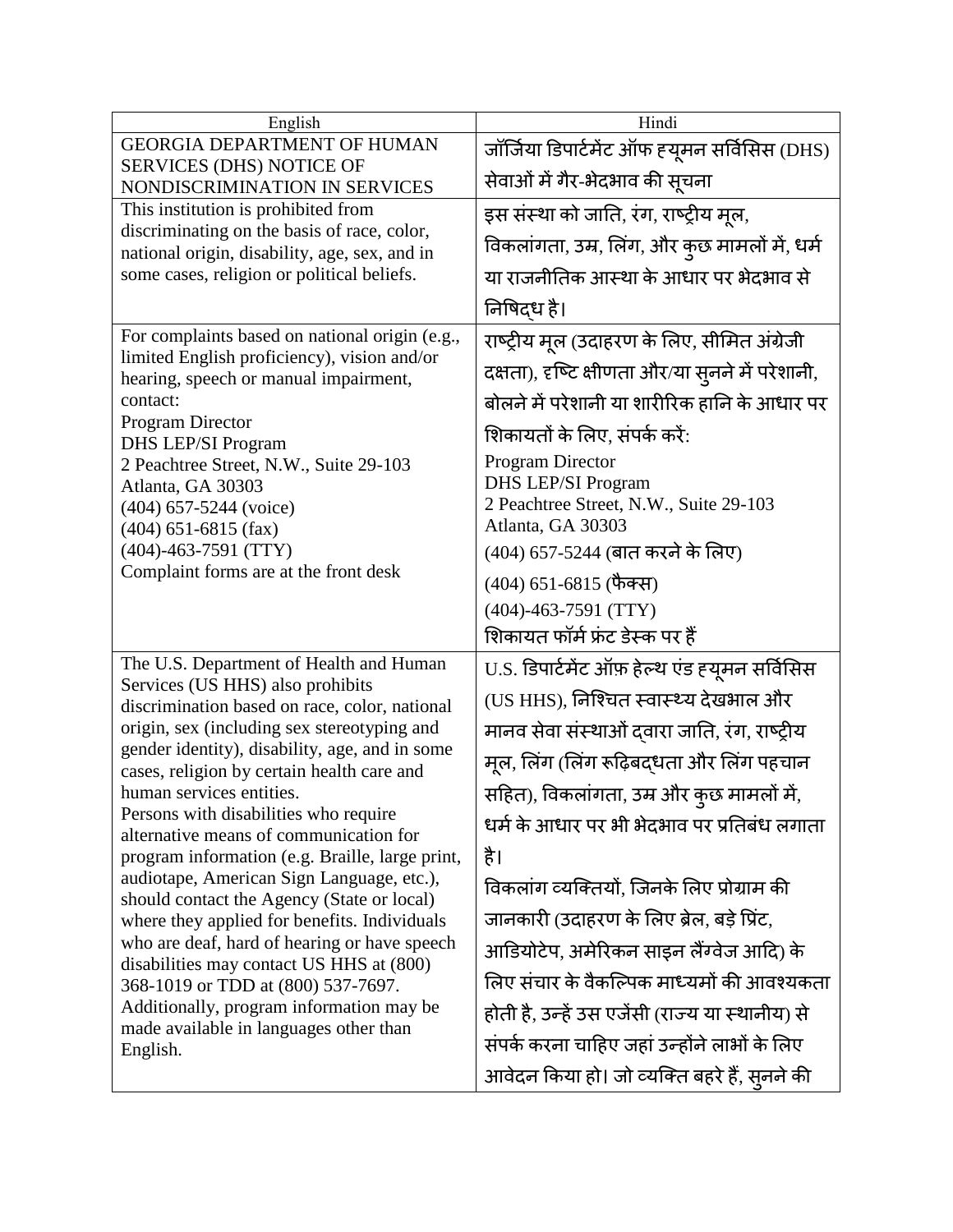| English                                                                                                                                                                                                                                                                                                                                                                                                                                                                                                                                                                                                                                                                                                                                                                                                                      | Hindi                                                        |
|------------------------------------------------------------------------------------------------------------------------------------------------------------------------------------------------------------------------------------------------------------------------------------------------------------------------------------------------------------------------------------------------------------------------------------------------------------------------------------------------------------------------------------------------------------------------------------------------------------------------------------------------------------------------------------------------------------------------------------------------------------------------------------------------------------------------------|--------------------------------------------------------------|
| <b>GEORGIA DEPARTMENT OF HUMAN</b>                                                                                                                                                                                                                                                                                                                                                                                                                                                                                                                                                                                                                                                                                                                                                                                           | जॉर्जिया डिपार्टमेंट ऑफ ह्यूमन सर्विसिस (DHS)                |
| <b>SERVICES (DHS) NOTICE OF</b><br>NONDISCRIMINATION IN SERVICES                                                                                                                                                                                                                                                                                                                                                                                                                                                                                                                                                                                                                                                                                                                                                             | सेवाओं में गैर-भेदभाव की सूचना                               |
| This institution is prohibited from                                                                                                                                                                                                                                                                                                                                                                                                                                                                                                                                                                                                                                                                                                                                                                                          | इस संस्था को जाति, रंग, राष्ट्रीय मूल,                       |
| discriminating on the basis of race, color,<br>national origin, disability, age, sex, and in<br>some cases, religion or political beliefs.                                                                                                                                                                                                                                                                                                                                                                                                                                                                                                                                                                                                                                                                                   | विकलांगता, उम्र, लिंग, और कुछ मामलों में, धर्म               |
|                                                                                                                                                                                                                                                                                                                                                                                                                                                                                                                                                                                                                                                                                                                                                                                                                              | या राजनीतिक आस्था के आधार पर भेदभाव से                       |
|                                                                                                                                                                                                                                                                                                                                                                                                                                                                                                                                                                                                                                                                                                                                                                                                                              | निषिद्ध है।                                                  |
| For complaints based on national origin (e.g.,<br>limited English proficiency), vision and/or<br>hearing, speech or manual impairment,<br>contact:<br><b>Program Director</b><br>DHS LEP/SI Program                                                                                                                                                                                                                                                                                                                                                                                                                                                                                                                                                                                                                          | राष्ट्रीय मूल (उदाहरण के लिए, सीमित अंग्रेजी                 |
|                                                                                                                                                                                                                                                                                                                                                                                                                                                                                                                                                                                                                                                                                                                                                                                                                              | दक्षता), दृष्टि क्षीणता और/या सुनने में परेशानी,             |
|                                                                                                                                                                                                                                                                                                                                                                                                                                                                                                                                                                                                                                                                                                                                                                                                                              | बोलने में परेशानी या शारीरिक हानि के आधार पर                 |
|                                                                                                                                                                                                                                                                                                                                                                                                                                                                                                                                                                                                                                                                                                                                                                                                                              | शिकायतों के लिए, संपर्क करें:                                |
| 2 Peachtree Street, N.W., Suite 29-103                                                                                                                                                                                                                                                                                                                                                                                                                                                                                                                                                                                                                                                                                                                                                                                       | <b>Program Director</b>                                      |
| Atlanta, GA 30303<br>$(404)$ 657-5244 (voice)                                                                                                                                                                                                                                                                                                                                                                                                                                                                                                                                                                                                                                                                                                                                                                                | DHS LEP/SI Program<br>2 Peachtree Street, N.W., Suite 29-103 |
| $(404)$ 651-6815 (fax)                                                                                                                                                                                                                                                                                                                                                                                                                                                                                                                                                                                                                                                                                                                                                                                                       | Atlanta, GA 30303                                            |
| $(404) - 463 - 7591$ (TTY)<br>Complaint forms are at the front desk                                                                                                                                                                                                                                                                                                                                                                                                                                                                                                                                                                                                                                                                                                                                                          | (404) 657-5244 (बात करने के लिए)                             |
|                                                                                                                                                                                                                                                                                                                                                                                                                                                                                                                                                                                                                                                                                                                                                                                                                              | (404) 651-6815 (फैक्स)                                       |
|                                                                                                                                                                                                                                                                                                                                                                                                                                                                                                                                                                                                                                                                                                                                                                                                                              | $(404)$ -463-7591 (TTY)                                      |
|                                                                                                                                                                                                                                                                                                                                                                                                                                                                                                                                                                                                                                                                                                                                                                                                                              | शिकायत फॉर्म फ्रंट डेस्क पर हैं                              |
| The U.S. Department of Health and Human<br>Services (US HHS) also prohibits<br>discrimination based on race, color, national<br>origin, sex (including sex stereotyping and<br>gender identity), disability, age, and in some<br>cases, religion by certain health care and<br>human services entities.<br>Persons with disabilities who require<br>alternative means of communication for<br>program information (e.g. Braille, large print,<br>audiotape, American Sign Language, etc.),<br>should contact the Agency (State or local)<br>where they applied for benefits. Individuals<br>who are deaf, hard of hearing or have speech<br>disabilities may contact US HHS at (800)<br>368-1019 or TDD at (800) 537-7697.<br>Additionally, program information may be<br>made available in languages other than<br>English. | U.S. डिपार्टमेंट ऑफ़ हेल्थ एंड ह्यूमन सर्विसिस               |
|                                                                                                                                                                                                                                                                                                                                                                                                                                                                                                                                                                                                                                                                                                                                                                                                                              | (US HHS), निश्चित स्वास्थ्य देखभाल और                        |
|                                                                                                                                                                                                                                                                                                                                                                                                                                                                                                                                                                                                                                                                                                                                                                                                                              | मानव सेवा संस्थाओं दवारा जाति, रंग, राष्ट्रीय                |
|                                                                                                                                                                                                                                                                                                                                                                                                                                                                                                                                                                                                                                                                                                                                                                                                                              | मूल, लिंग (लिंग रूढ़िबद्धता और लिंग पहचान                    |
|                                                                                                                                                                                                                                                                                                                                                                                                                                                                                                                                                                                                                                                                                                                                                                                                                              | सहित), विकलांगता, उम्र और कुछ मामलों में,                    |
|                                                                                                                                                                                                                                                                                                                                                                                                                                                                                                                                                                                                                                                                                                                                                                                                                              | धर्म के आधार पर भी भेदभाव पर प्रतिबंध लगाता                  |
|                                                                                                                                                                                                                                                                                                                                                                                                                                                                                                                                                                                                                                                                                                                                                                                                                              | है।                                                          |
|                                                                                                                                                                                                                                                                                                                                                                                                                                                                                                                                                                                                                                                                                                                                                                                                                              | विकलांग व्यक्तियों, जिनके लिए प्रोग्राम की                   |
|                                                                                                                                                                                                                                                                                                                                                                                                                                                                                                                                                                                                                                                                                                                                                                                                                              | जानकारी (उदाहरण के लिए ब्रेल, बड़े प्रिंट,                   |
|                                                                                                                                                                                                                                                                                                                                                                                                                                                                                                                                                                                                                                                                                                                                                                                                                              | आडियोटेप, अमेरिकन साइन लैंग्वेज आदि) के                      |
|                                                                                                                                                                                                                                                                                                                                                                                                                                                                                                                                                                                                                                                                                                                                                                                                                              | लिए संचार के वैकल्पिक माध्यमों की आवश्यकता                   |
|                                                                                                                                                                                                                                                                                                                                                                                                                                                                                                                                                                                                                                                                                                                                                                                                                              | होती है, उन्हें उस एजेंसी (राज्य या स्थानीय) से              |
|                                                                                                                                                                                                                                                                                                                                                                                                                                                                                                                                                                                                                                                                                                                                                                                                                              | संपर्क करना चाहिए जहां उन्होंने लाभों के लिए                 |
|                                                                                                                                                                                                                                                                                                                                                                                                                                                                                                                                                                                                                                                                                                                                                                                                                              | आवेदन किया हो। जो व्यक्ति बहरे हैं, सुनने की                 |